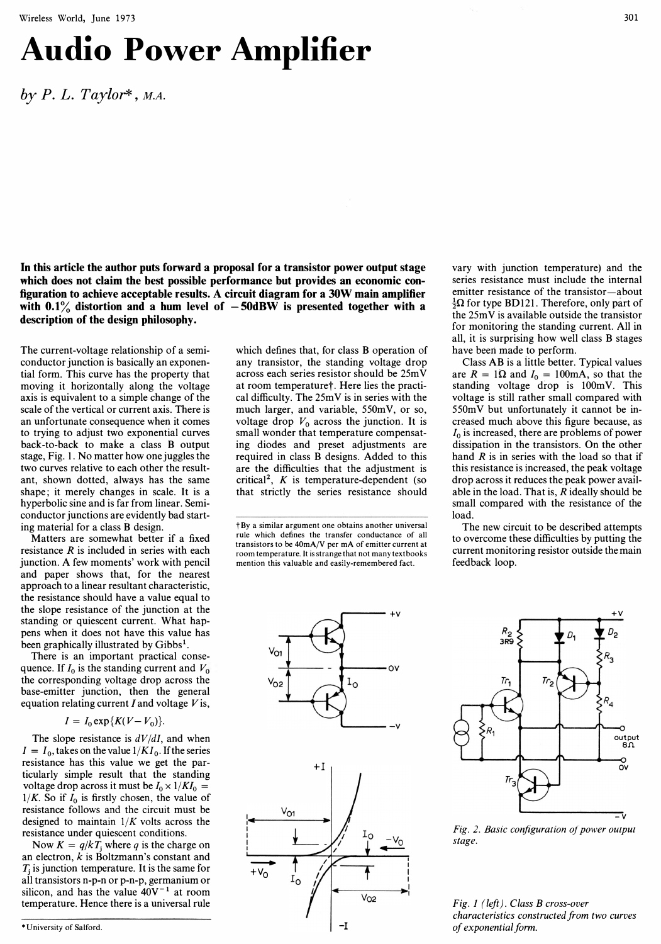# Audio Power Amplifier

by  $P. L. Taylor^*, MA$ .

In this article the author puts forward a proposal for a transistor power output stage which does not claim the best possible performance but provides an economic configuration to achieve acceptable results. A circuit diagram for a 30W main amplifier with  $0.1\%$  distortion and a hum level of  $-50$ dBW is presented together with a description of the design philosophy.

The current-voltage relationship of a semiconductor junction is basically an exponential form. This curve has the property that moving it horizontally along the voltage axis is equivalent to a simple change of the scale of the vertical or current axis. There is an unfortunate consequence when it comes to trying to adjust two exponential curves back-to-back to make a class B output stage, Fig. I. No matter how one juggles the two curves relative to each other the resultant, shown dotted, always has the same shape; it merely changes in scale. It is a hyperbolic sine and is far from linear. Semiconductor junctions are evidently bad starting material for a class B design.

Matters are somewhat better if a fixed resistance  $R$  is included in series with each junction. A few moments' work with pencil and paper shows that, for the nearest approach to a linear resultant characteristic, the resistance should have a value equal to the slope resistance of the junction at the standing or quiescent current. What happens when it does not have this value has been graphically illustrated by Gibbs<sup>1</sup>.

There is an important practical consequence. If  $I_0$  is the standing current and  $V_0$ the corresponding voltage drop across the base-emitter junction, then the general equation relating current  $I$  and voltage  $V$  is,

 $I = I_0 \exp{\{K(V - V_0)\}}$ .

The slope resistance is  $dV/dI$ , and when  $I = I_0$ , takes on the value  $1/KI_0$ . If the series resistance has this value we get the particularly simple result that the standing voltage drop across it must be  $I_0 \times 1/KI_0 =$  $1/K$ . So if  $I_0$  is firstly chosen, the value of resistance follows and the circuit must be designed to maintain  $1/K$  volts across the resistance under quiescent conditions.

Now  $K = q/kT_i$  where q is the charge on an electron, k is Boltzmann's constant and  $T_i$  is junction temperature. It is the same for all transistors n-p-n or p-n-p, germanium or silicon, and has the value  $40V^{-1}$  at room temperature. Hence there is a universal rule

which defines that, for class B operation of any transistor, the standing voltage drop across each series resistor should be 25m Y at room temperaturet. Here lies the practical difficulty. The 25mY is in series with the much larger, and variable, 550mY, or so, voltage drop  $V_0$  across the junction. It is small wonder that temperature compensating diodes and preset adjustments are required in class B designs. Added to this are the difficulties that the adjustment is critical<sup>2</sup>,  $K$  is temperature-dependent (so that strictly the series resistance should

t By a similar argument one obtains another universal rule which defines the transfer conductance of all transistors to be 40mA/V per mA of emitter current at room temperature, It is strange that not many textbooks mention this valuable and easily-remembered fact.

vary with junction temperature) and the series resistance must include the internal emitter resistance of the transistor-about  $\frac{1}{2}\Omega$  for type BD121. Therefore, only part of the 25mY is available outside the transistor for monitoring the standing current. All in all, it is surprising how well class B stages have beeri made to perform.

Class AB is a iittle better. Typical values are  $R = 1\Omega$  and  $I_0 = 100$ mA, so that the standing voltage drop is IOOmY. This voltage is still rather small compared with 550mY but unfortunately it cannot be increased much above this figure because, as  $I_0$  is increased, there are problems of power dissipation in the transistors. On the other hand  $R$  is in series with the load so that if this resistance is increased, the peak voltage drop across it reduces the peak power available in the load. That is,  $R$  ideally should be small compared with the resistance of the load.

The new circuit to be described attempts to overcome these difficulties by putting the current monitoring resistor outside the main feedback loop.





Fig. 2. Basic configuration of power output stage.

Fig. I (left). Class B cross-over characteristics constructed from two curves of exponential form.